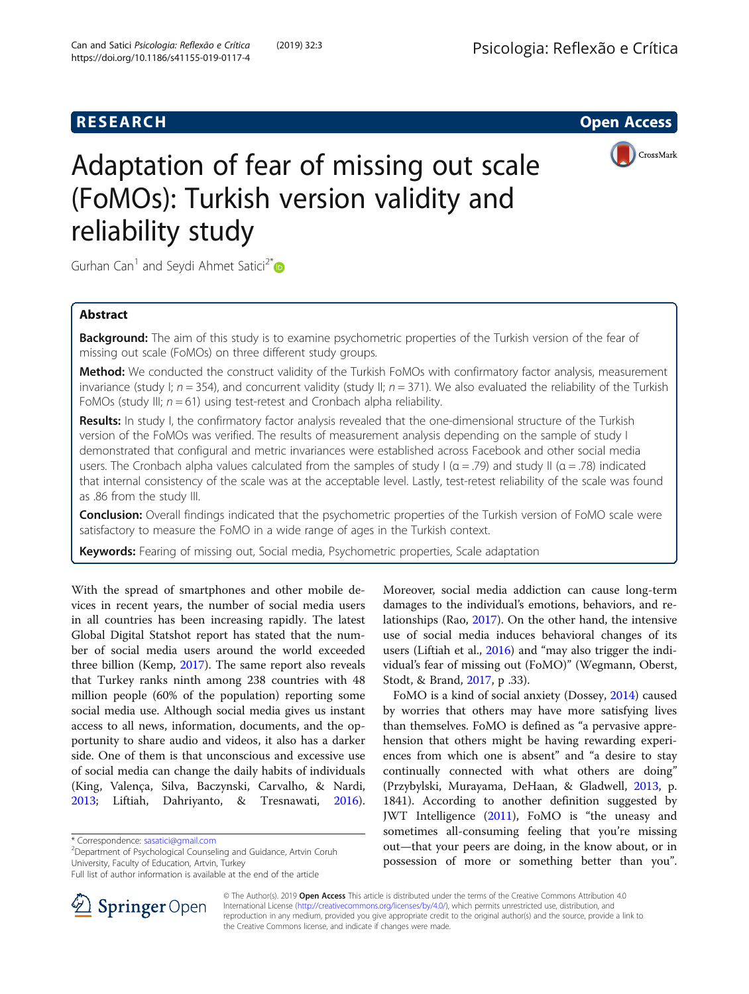



# Adaptation of fear of missing out scale (FoMOs): Turkish version validity and reliability study

Gurhan Can<sup>1</sup> and Seydi Ahmet Satici<sup>2\*</sup>

# Abstract

**Background:** The aim of this study is to examine psychometric properties of the Turkish version of the fear of missing out scale (FoMOs) on three different study groups.

Method: We conducted the construct validity of the Turkish FoMOs with confirmatory factor analysis, measurement invariance (study I;  $n = 354$ ), and concurrent validity (study II;  $n = 371$ ). We also evaluated the reliability of the Turkish FoMOs (study III;  $n = 61$ ) using test-retest and Cronbach alpha reliability.

Results: In study I, the confirmatory factor analysis revealed that the one-dimensional structure of the Turkish version of the FoMOs was verified. The results of measurement analysis depending on the sample of study I demonstrated that configural and metric invariances were established across Facebook and other social media users. The Cronbach alpha values calculated from the samples of study I ( $\alpha$  = .79) and study II ( $\alpha$  = .78) indicated that internal consistency of the scale was at the acceptable level. Lastly, test-retest reliability of the scale was found as .86 from the study III.

**Conclusion:** Overall findings indicated that the psychometric properties of the Turkish version of FoMO scale were satisfactory to measure the FoMO in a wide range of ages in the Turkish context.

Keywords: Fearing of missing out, Social media, Psychometric properties, Scale adaptation

With the spread of smartphones and other mobile devices in recent years, the number of social media users in all countries has been increasing rapidly. The latest Global Digital Statshot report has stated that the number of social media users around the world exceeded three billion (Kemp, [2017\)](#page-6-0). The same report also reveals that Turkey ranks ninth among 238 countries with 48 million people (60% of the population) reporting some social media use. Although social media gives us instant access to all news, information, documents, and the opportunity to share audio and videos, it also has a darker side. One of them is that unconscious and excessive use of social media can change the daily habits of individuals (King, Valença, Silva, Baczynski, Carvalho, & Nardi, [2013](#page-6-0); Liftiah, Dahriyanto, & Tresnawati, [2016](#page-6-0)).

<sup>2</sup>Department of Psychological Counseling and Guidance, Artvin Coruh University, Faculty of Education, Artvin, Turkey



FoMO is a kind of social anxiety (Dossey, [2014](#page-6-0)) caused by worries that others may have more satisfying lives than themselves. FoMO is defined as "a pervasive apprehension that others might be having rewarding experiences from which one is absent" and "a desire to stay continually connected with what others are doing" (Przybylski, Murayama, DeHaan, & Gladwell, [2013,](#page-6-0) p. 1841). According to another definition suggested by JWT Intelligence ([2011\)](#page-6-0), FoMO is "the uneasy and sometimes all-consuming feeling that you're missing out—that your peers are doing, in the know about, or in possession of more or something better than you".



© The Author(s). 2019 Open Access This article is distributed under the terms of the Creative Commons Attribution 4.0 International License ([http://creativecommons.org/licenses/by/4.0/\)](http://creativecommons.org/licenses/by/4.0/), which permits unrestricted use, distribution, and reproduction in any medium, provided you give appropriate credit to the original author(s) and the source, provide a link to the Creative Commons license, and indicate if changes were made.

<sup>\*</sup> Correspondence: [sasatici@gmail.com](mailto:sasatici@gmail.com) <sup>2</sup>

Full list of author information is available at the end of the article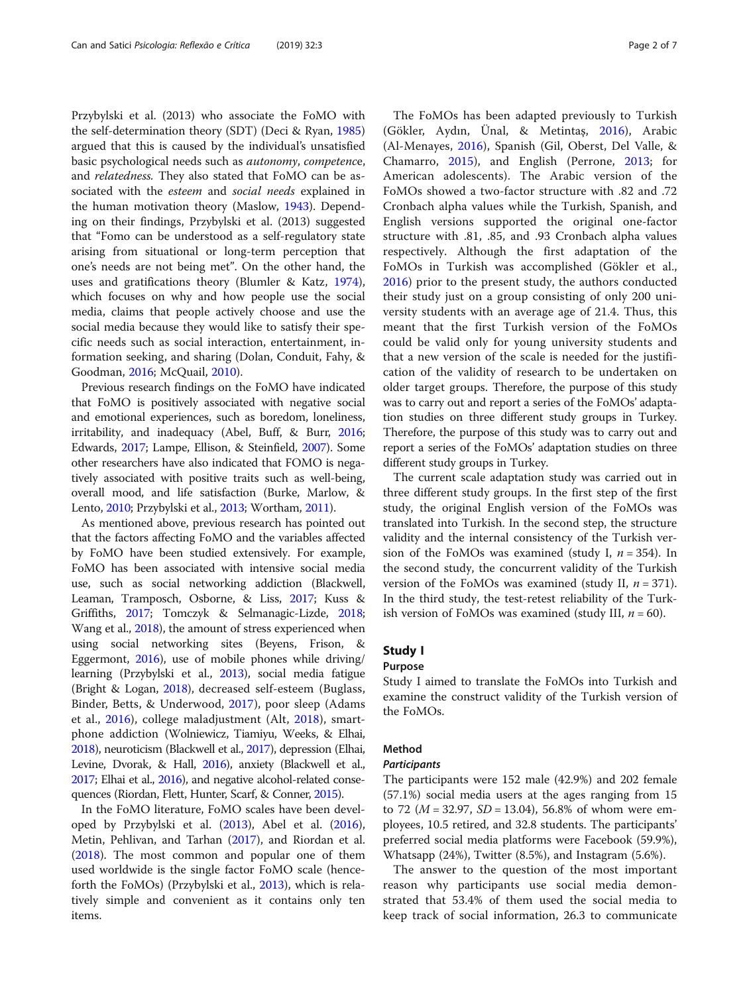Przybylski et al. (2013) who associate the FoMO with the self-determination theory (SDT) (Deci & Ryan, [1985](#page-6-0)) argued that this is caused by the individual's unsatisfied basic psychological needs such as autonomy, competence, and relatedness. They also stated that FoMO can be associated with the esteem and social needs explained in the human motivation theory (Maslow, [1943\)](#page-6-0). Depending on their findings, Przybylski et al. (2013) suggested that "Fomo can be understood as a self-regulatory state arising from situational or long-term perception that one's needs are not being met". On the other hand, the uses and gratifications theory (Blumler & Katz, [1974](#page-5-0)), which focuses on why and how people use the social media, claims that people actively choose and use the social media because they would like to satisfy their specific needs such as social interaction, entertainment, information seeking, and sharing (Dolan, Conduit, Fahy, & Goodman, [2016](#page-6-0); McQuail, [2010\)](#page-6-0).

Previous research findings on the FoMO have indicated that FoMO is positively associated with negative social and emotional experiences, such as boredom, loneliness, irritability, and inadequacy (Abel, Buff, & Burr, [2016](#page-5-0); Edwards, [2017;](#page-6-0) Lampe, Ellison, & Steinfield, [2007](#page-6-0)). Some other researchers have also indicated that FOMO is negatively associated with positive traits such as well-being, overall mood, and life satisfaction (Burke, Marlow, & Lento, [2010;](#page-6-0) Przybylski et al., [2013](#page-6-0); Wortham, [2011](#page-6-0)).

As mentioned above, previous research has pointed out that the factors affecting FoMO and the variables affected by FoMO have been studied extensively. For example, FoMO has been associated with intensive social media use, such as social networking addiction (Blackwell, Leaman, Tramposch, Osborne, & Liss, [2017;](#page-5-0) Kuss & Griffiths, [2017](#page-6-0); Tomczyk & Selmanagic-Lizde, [2018](#page-6-0); Wang et al., [2018](#page-6-0)), the amount of stress experienced when using social networking sites (Beyens, Frison, & Eggermont, [2016\)](#page-5-0), use of mobile phones while driving/ learning (Przybylski et al., [2013\)](#page-6-0), social media fatigue (Bright & Logan, [2018](#page-6-0)), decreased self-esteem (Buglass, Binder, Betts, & Underwood, [2017\)](#page-6-0), poor sleep (Adams et al., [2016\)](#page-5-0), college maladjustment (Alt, [2018](#page-5-0)), smartphone addiction (Wolniewicz, Tiamiyu, Weeks, & Elhai, [2018](#page-6-0)), neuroticism (Blackwell et al., [2017\)](#page-5-0), depression (Elhai, Levine, Dvorak, & Hall, [2016\)](#page-6-0), anxiety (Blackwell et al., [2017](#page-5-0); Elhai et al., [2016\)](#page-6-0), and negative alcohol-related consequences (Riordan, Flett, Hunter, Scarf, & Conner, [2015\)](#page-6-0).

In the FoMO literature, FoMO scales have been developed by Przybylski et al. ([2013](#page-6-0)), Abel et al. ([2016](#page-5-0)), Metin, Pehlivan, and Tarhan [\(2017](#page-6-0)), and Riordan et al. ([2018](#page-6-0)). The most common and popular one of them used worldwide is the single factor FoMO scale (henceforth the FoMOs) (Przybylski et al., [2013](#page-6-0)), which is relatively simple and convenient as it contains only ten items.

The FoMOs has been adapted previously to Turkish (Gökler, Aydın, Ünal, & Metintaş, [2016\)](#page-6-0), Arabic (Al-Menayes, [2016](#page-5-0)), Spanish (Gil, Oberst, Del Valle, & Chamarro, [2015\)](#page-6-0), and English (Perrone, [2013;](#page-6-0) for American adolescents). The Arabic version of the FoMOs showed a two-factor structure with .82 and .72 Cronbach alpha values while the Turkish, Spanish, and English versions supported the original one-factor structure with .81, .85, and .93 Cronbach alpha values respectively. Although the first adaptation of the FoMOs in Turkish was accomplished (Gökler et al., [2016\)](#page-6-0) prior to the present study, the authors conducted their study just on a group consisting of only 200 university students with an average age of 21.4. Thus, this meant that the first Turkish version of the FoMOs could be valid only for young university students and that a new version of the scale is needed for the justification of the validity of research to be undertaken on older target groups. Therefore, the purpose of this study was to carry out and report a series of the FoMOs' adaptation studies on three different study groups in Turkey. Therefore, the purpose of this study was to carry out and report a series of the FoMOs' adaptation studies on three different study groups in Turkey.

The current scale adaptation study was carried out in three different study groups. In the first step of the first study, the original English version of the FoMOs was translated into Turkish. In the second step, the structure validity and the internal consistency of the Turkish version of the FoMOs was examined (study I,  $n = 354$ ). In the second study, the concurrent validity of the Turkish version of the FoMOs was examined (study II,  $n = 371$ ). In the third study, the test-retest reliability of the Turkish version of FoMOs was examined (study III,  $n = 60$ ).

# Study I

# Purpose

Study I aimed to translate the FoMOs into Turkish and examine the construct validity of the Turkish version of the FoMOs.

# Method

# **Participants**

The participants were 152 male (42.9%) and 202 female (57.1%) social media users at the ages ranging from 15 to 72 ( $M = 32.97$ ,  $SD = 13.04$ ), 56.8% of whom were employees, 10.5 retired, and 32.8 students. The participants' preferred social media platforms were Facebook (59.9%), Whatsapp (24%), Twitter (8.5%), and Instagram (5.6%).

The answer to the question of the most important reason why participants use social media demonstrated that 53.4% of them used the social media to keep track of social information, 26.3 to communicate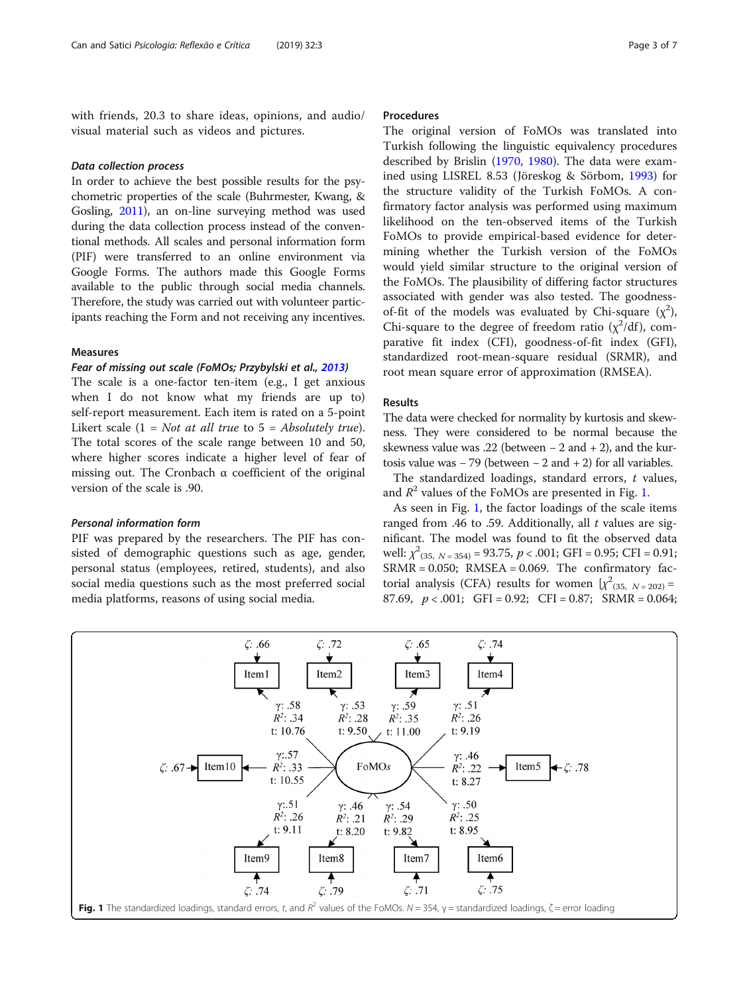with friends, 20.3 to share ideas, opinions, and audio/ visual material such as videos and pictures.

# Data collection process

In order to achieve the best possible results for the psychometric properties of the scale (Buhrmester, Kwang, & Gosling, [2011](#page-6-0)), an on-line surveying method was used during the data collection process instead of the conventional methods. All scales and personal information form (PIF) were transferred to an online environment via Google Forms. The authors made this Google Forms available to the public through social media channels. Therefore, the study was carried out with volunteer participants reaching the Form and not receiving any incentives.

# Measures

# Fear of missing out scale (FoMOs; Przybylski et al., [2013\)](#page-6-0)

The scale is a one-factor ten-item (e.g., I get anxious when I do not know what my friends are up to) self-report measurement. Each item is rated on a 5-point Likert scale  $(1 = Not at all true to 5 = Absolutely true)$ . The total scores of the scale range between 10 and 50, where higher scores indicate a higher level of fear of missing out. The Cronbach  $\alpha$  coefficient of the original version of the scale is .90.

#### Personal information form

PIF was prepared by the researchers. The PIF has consisted of demographic questions such as age, gender, personal status (employees, retired, students), and also social media questions such as the most preferred social media platforms, reasons of using social media.

# Procedures

The original version of FoMOs was translated into Turkish following the linguistic equivalency procedures described by Brislin [\(1970,](#page-6-0) [1980\)](#page-6-0). The data were examined using LISREL 8.53 (Jöreskog & Sörbom, [1993\)](#page-6-0) for the structure validity of the Turkish FoMOs. A confirmatory factor analysis was performed using maximum likelihood on the ten-observed items of the Turkish FoMOs to provide empirical-based evidence for determining whether the Turkish version of the FoMOs would yield similar structure to the original version of the FoMOs. The plausibility of differing factor structures associated with gender was also tested. The goodnessof-fit of the models was evaluated by Chi-square  $(\chi^2)$ , Chi-square to the degree of freedom ratio  $(\chi^2/df)$ , comparative fit index (CFI), goodness-of-fit index (GFI), standardized root-mean-square residual (SRMR), and root mean square error of approximation (RMSEA).

# Results

The data were checked for normality by kurtosis and skewness. They were considered to be normal because the skewness value was .22 (between  $-2$  and  $+2$ ), and the kurtosis value was  $-79$  (between  $-2$  and  $+2$ ) for all variables.

The standardized loadings, standard errors, t values, and  $R^2$  values of the FoMOs are presented in Fig. 1.

As seen in Fig. 1, the factor loadings of the scale items ranged from .46 to .59. Additionally, all  $t$  values are significant. The model was found to fit the observed data well:  $\chi^2$ <sub>(35, N = 354)</sub> = 93.75, p < .001; GFI = 0.95; CFI = 0.91;  $SRMR = 0.050$ ;  $RMSEA = 0.069$ . The confirmatory factorial analysis (CFA) results for women  $\left[\chi^2\right]_{(35, N=202)}$  = 87.69,  $p < .001$ ; GFI = 0.92; CFI = 0.87; SRMR = 0.064;

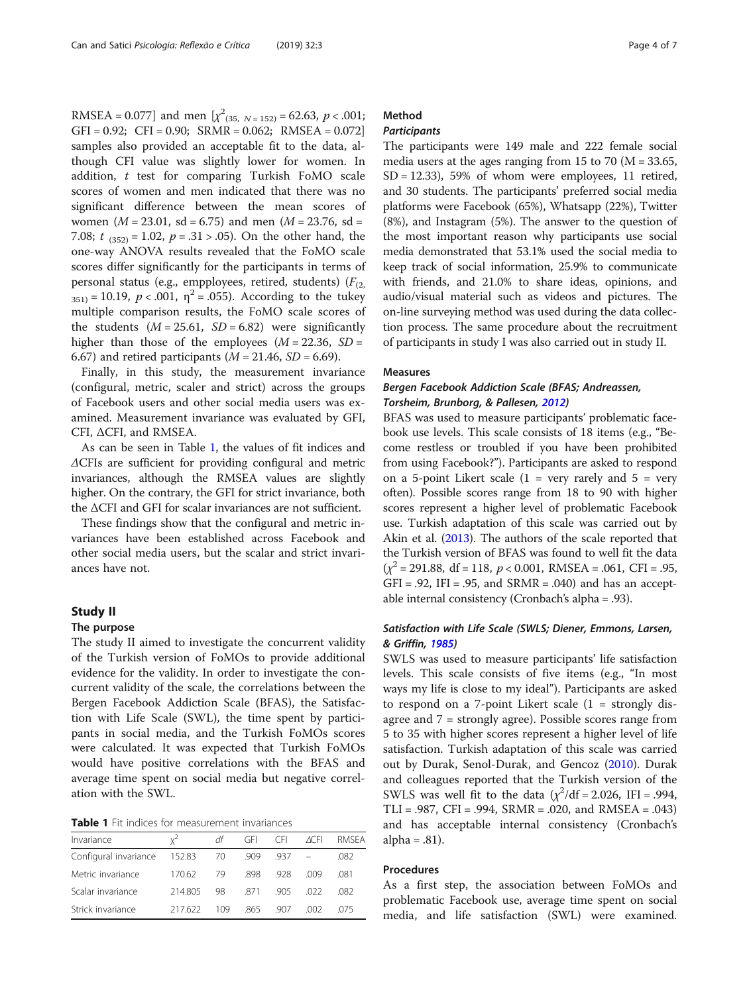RMSEA = 0.077] and men  $\left[\chi^2_{(35, N=152)}\right]$  = 62.63,  $p < .001$ ; GFI = 0.92; CFI = 0.90; SRMR = 0.062; RMSEA = 0.072] samples also provided an acceptable fit to the data, although CFI value was slightly lower for women. In addition, t test for comparing Turkish FoMO scale scores of women and men indicated that there was no significant difference between the mean scores of women ( $M = 23.01$ , sd = 6.75) and men ( $M = 23.76$ , sd = 7.08;  $t_{(352)} = 1.02$ ,  $p = .31 > .05$ ). On the other hand, the one-way ANOVA results revealed that the FoMO scale scores differ significantly for the participants in terms of personal status (e.g., empployees, retired, students) ( $F_{(2)}$ )  $_{351)}$  = 10.19,  $p < .001$ ,  $\eta^2 = .055$ ). According to the tukey multiple comparison results, the FoMO scale scores of the students  $(M = 25.61, SD = 6.82)$  were significantly higher than those of the employees  $(M = 22.36, SD =$ 6.67) and retired participants  $(M = 21.46, SD = 6.69)$ .

Finally, in this study, the measurement invariance (configural, metric, scaler and strict) across the groups of Facebook users and other social media users was examined. Measurement invariance was evaluated by GFI, CFI, ΔCFI, and RMSEA.

As can be seen in Table 1, the values of fit indices and ΔCFIs are sufficient for providing configural and metric invariances, although the RMSEA values are slightly higher. On the contrary, the GFI for strict invariance, both the ΔCFI and GFI for scalar invariances are not sufficient.

These findings show that the configural and metric invariances have been established across Facebook and other social media users, but the scalar and strict invariances have not.

# Study II

#### The purpose

The study II aimed to investigate the concurrent validity of the Turkish version of FoMOs to provide additional evidence for the validity. In order to investigate the concurrent validity of the scale, the correlations between the Bergen Facebook Addiction Scale (BFAS), the Satisfaction with Life Scale (SWL), the time spent by participants in social media, and the Turkish FoMOs scores were calculated. It was expected that Turkish FoMOs would have positive correlations with the BFAS and average time spent on social media but negative correlation with the SWL.

Table 1 Fit indices for measurement invariances

| Invariance                   |        | df   | GFI  | CFI   | ∆CFI  | RMSFA |
|------------------------------|--------|------|------|-------|-------|-------|
| Configural invariance 152.83 |        | - 70 | .909 | 937 – |       | .082  |
| Metric invariance            | 170.62 | 79   | 898  | -928  | 009   | .081  |
| Scalar invariance            | 214805 | 98   | 871  | 905   | - 022 | .082  |
| Strick invariance            | 217622 | 109  | .865 | 907   | .002  | 075   |

# Method

# **Participants**

The participants were 149 male and 222 female social media users at the ages ranging from 15 to 70 ( $M = 33.65$ ,  $SD = 12.33$ ), 59% of whom were employees, 11 retired, and 30 students. The participants' preferred social media platforms were Facebook (65%), Whatsapp (22%), Twitter (8%), and Instagram (5%). The answer to the question of the most important reason why participants use social media demonstrated that 53.1% used the social media to keep track of social information, 25.9% to communicate with friends, and 21.0% to share ideas, opinions, and audio/visual material such as videos and pictures. The on-line surveying method was used during the data collection process. The same procedure about the recruitment of participants in study I was also carried out in study II.

#### Measures

# Bergen Facebook Addiction Scale (BFAS; Andreassen, Torsheim, Brunborg, & Pallesen, [2012\)](#page-5-0)

BFAS was used to measure participants' problematic facebook use levels. This scale consists of 18 items (e.g., "Become restless or troubled if you have been prohibited from using Facebook?"). Participants are asked to respond on a 5-point Likert scale  $(1 = \text{very rarely and } 5 = \text{very}$ often). Possible scores range from 18 to 90 with higher scores represent a higher level of problematic Facebook use. Turkish adaptation of this scale was carried out by Akin et al. [\(2013](#page-5-0)). The authors of the scale reported that the Turkish version of BFAS was found to well fit the data  $(\chi^2 = 291.88, df = 118, p < 0.001, RMSEA = .061, CFI = .95,$  $GFI = .92$ ,  $IFI = .95$ , and  $SRMR = .040$ ) and has an acceptable internal consistency (Cronbach's alpha = .93).

# Satisfaction with Life Scale (SWLS; Diener, Emmons, Larsen, & Griffin, [1985](#page-6-0))

SWLS was used to measure participants' life satisfaction levels. This scale consists of five items (e.g., "In most ways my life is close to my ideal"). Participants are asked to respond on a 7-point Likert scale  $(1 =$  strongly disagree and 7 = strongly agree). Possible scores range from 5 to 35 with higher scores represent a higher level of life satisfaction. Turkish adaptation of this scale was carried out by Durak, Senol-Durak, and Gencoz ([2010\)](#page-6-0). Durak and colleagues reported that the Turkish version of the SWLS was well fit to the data  $(\chi^2/\text{df} = 2.026, \text{ IFI} = .994,$ TLI = .987, CFI = .994, SRMR = .020, and RMSEA = .043) and has acceptable internal consistency (Cronbach's alpha =  $.81$ ).

# Procedures

As a first step, the association between FoMOs and problematic Facebook use, average time spent on social media, and life satisfaction (SWL) were examined.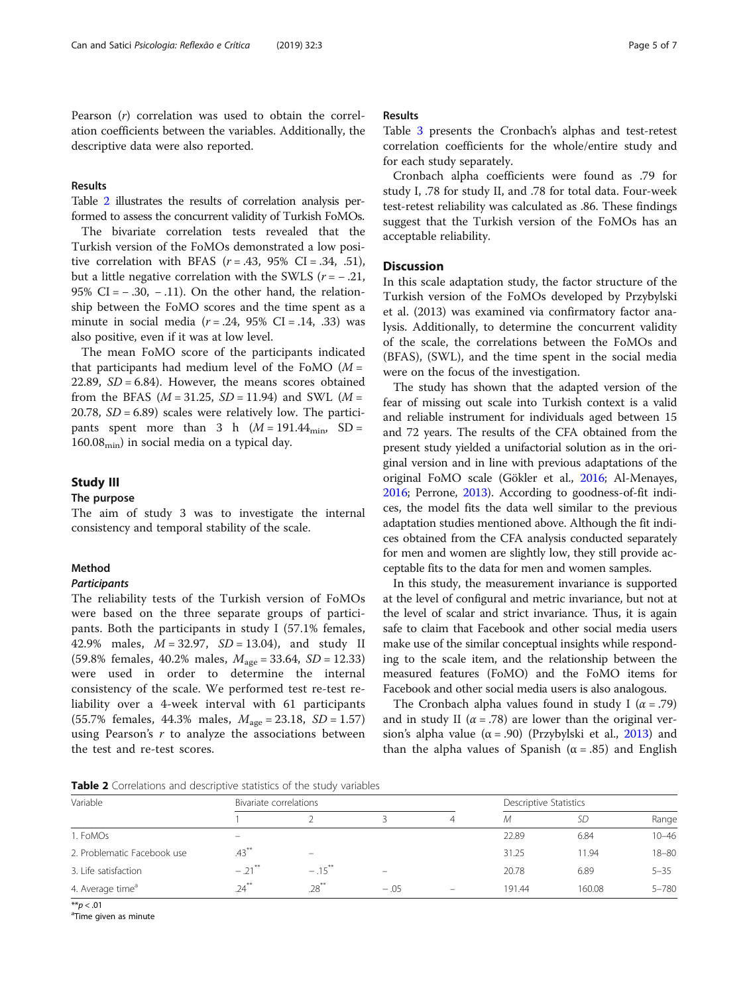Pearson (r) correlation was used to obtain the correlation coefficients between the variables. Additionally, the descriptive data were also reported.

# Results

Table 2 illustrates the results of correlation analysis performed to assess the concurrent validity of Turkish FoMOs.

The bivariate correlation tests revealed that the Turkish version of the FoMOs demonstrated a low positive correlation with BFAS  $(r = .43, 95\% \text{ CI} = .34, .51)$ , but a little negative correlation with the SWLS  $(r = -0.21,$ 95% CI =  $-$  .30,  $-$  .11). On the other hand, the relationship between the FoMO scores and the time spent as a minute in social media  $(r=.24, 95\% \text{ CI}=.14, .33)$  was also positive, even if it was at low level.

The mean FoMO score of the participants indicated that participants had medium level of the FoMO  $(M =$ 22.89,  $SD = 6.84$ ). However, the means scores obtained from the BFAS ( $M = 31.25$ ,  $SD = 11.94$ ) and SWL ( $M =$ 20.78,  $SD = 6.89$ ) scales were relatively low. The participants spent more than 3 h  $(M = 191.44<sub>min</sub>)$  SD =  $160.08_{\text{min}}$ ) in social media on a typical day.

# Study III

## The purpose

The aim of study 3 was to investigate the internal consistency and temporal stability of the scale.

# Method

# **Participants**

The reliability tests of the Turkish version of FoMOs were based on the three separate groups of participants. Both the participants in study I (57.1% females, 42.9% males,  $M = 32.97$ ,  $SD = 13.04$ ), and study II (59.8% females, 40.2% males,  $M_{\text{age}} = 33.64$ ,  $SD = 12.33$ ) were used in order to determine the internal consistency of the scale. We performed test re-test reliability over a 4-week interval with 61 participants (55.7% females, 44.3% males,  $M_{\text{age}} = 23.18$ ,  $SD = 1.57$ ) using Pearson's  $r$  to analyze the associations between the test and re-test scores.

## Results

Table [3](#page-5-0) presents the Cronbach's alphas and test-retest correlation coefficients for the whole/entire study and for each study separately.

Cronbach alpha coefficients were found as .79 for study I, .78 for study II, and .78 for total data. Four-week test-retest reliability was calculated as .86. These findings suggest that the Turkish version of the FoMOs has an acceptable reliability.

# **Discussion**

In this scale adaptation study, the factor structure of the Turkish version of the FoMOs developed by Przybylski et al. (2013) was examined via confirmatory factor analysis. Additionally, to determine the concurrent validity of the scale, the correlations between the FoMOs and (BFAS), (SWL), and the time spent in the social media were on the focus of the investigation.

The study has shown that the adapted version of the fear of missing out scale into Turkish context is a valid and reliable instrument for individuals aged between 15 and 72 years. The results of the CFA obtained from the present study yielded a unifactorial solution as in the original version and in line with previous adaptations of the original FoMO scale (Gökler et al., [2016;](#page-6-0) Al-Menayes, [2016](#page-5-0); Perrone, [2013\)](#page-6-0). According to goodness-of-fit indices, the model fits the data well similar to the previous adaptation studies mentioned above. Although the fit indices obtained from the CFA analysis conducted separately for men and women are slightly low, they still provide acceptable fits to the data for men and women samples.

In this study, the measurement invariance is supported at the level of configural and metric invariance, but not at the level of scalar and strict invariance. Thus, it is again safe to claim that Facebook and other social media users make use of the similar conceptual insights while responding to the scale item, and the relationship between the measured features (FoMO) and the FoMO items for Facebook and other social media users is also analogous.

The Cronbach alpha values found in study I ( $\alpha$  = .79) and in study II ( $\alpha$  = .78) are lower than the original version's alpha value ( $\alpha$  = .90) (Przybylski et al., [2013](#page-6-0)) and than the alpha values of Spanish ( $\alpha = .85$ ) and English

Table 2 Correlations and descriptive statistics of the study variables

| Variable                     | Bivariate correlations   |           |                          |   | <b>Descriptive Statistics</b> |        |           |
|------------------------------|--------------------------|-----------|--------------------------|---|-------------------------------|--------|-----------|
|                              |                          |           |                          | 4 | М                             | -SD    | Range     |
| 1. FoMOs                     | $\overline{\phantom{m}}$ |           |                          |   | 22.89                         | 6.84   | $10 - 46$ |
| 2. Problematic Facebook use  | $.43***$                 |           |                          |   | 31.25                         | 11.94  | $18 - 80$ |
| 3. Life satisfaction         | $-.21$ <sup>**</sup>     | $-.15***$ | $\overline{\phantom{m}}$ |   | 20.78                         | 6.89   | $5 - 35$  |
| 4. Average time <sup>a</sup> | $.24$ <sup>**</sup>      | $.28***$  | $-.05$                   |   | 191.44                        | 160.08 | $5 - 780$ |

 $**p < .01$ 

<sup>a</sup>Time given as minute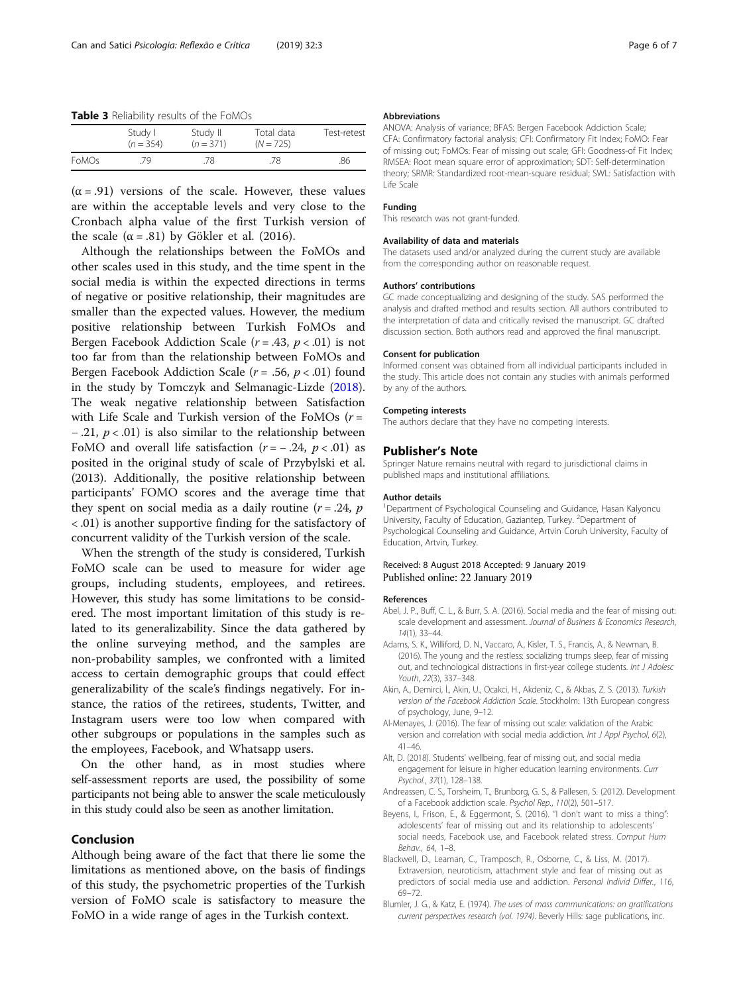<span id="page-5-0"></span>Table 3 Reliability results of the FoMOs

|              | Study I<br>$(n = 354)$ | Study II<br>$(n = 371)$ | Total data<br>$(N = 725)$ | Test-retest |
|--------------|------------------------|-------------------------|---------------------------|-------------|
| <b>FOMOS</b> | .79                    | .78                     | .78                       | .86         |

 $(\alpha = .91)$  versions of the scale. However, these values are within the acceptable levels and very close to the Cronbach alpha value of the first Turkish version of the scale  $(\alpha = .81)$  by Gökler et al. (2016).

Although the relationships between the FoMOs and other scales used in this study, and the time spent in the social media is within the expected directions in terms of negative or positive relationship, their magnitudes are smaller than the expected values. However, the medium positive relationship between Turkish FoMOs and Bergen Facebook Addiction Scale ( $r = .43$ ,  $p < .01$ ) is not too far from than the relationship between FoMOs and Bergen Facebook Addiction Scale ( $r = .56$ ,  $p < .01$ ) found in the study by Tomczyk and Selmanagic-Lizde ([2018](#page-6-0)). The weak negative relationship between Satisfaction with Life Scale and Turkish version of the FoMOs  $(r =$ − .21, p < .01) is also similar to the relationship between FoMO and overall life satisfaction  $(r = -.24, p < .01)$  as posited in the original study of scale of Przybylski et al. (2013). Additionally, the positive relationship between participants' FOMO scores and the average time that they spent on social media as a daily routine  $(r = .24, p)$ < .01) is another supportive finding for the satisfactory of concurrent validity of the Turkish version of the scale.

When the strength of the study is considered, Turkish FoMO scale can be used to measure for wider age groups, including students, employees, and retirees. However, this study has some limitations to be considered. The most important limitation of this study is related to its generalizability. Since the data gathered by the online surveying method, and the samples are non-probability samples, we confronted with a limited access to certain demographic groups that could effect generalizability of the scale's findings negatively. For instance, the ratios of the retirees, students, Twitter, and Instagram users were too low when compared with other subgroups or populations in the samples such as the employees, Facebook, and Whatsapp users.

On the other hand, as in most studies where self-assessment reports are used, the possibility of some participants not being able to answer the scale meticulously in this study could also be seen as another limitation.

# Conclusion

Although being aware of the fact that there lie some the limitations as mentioned above, on the basis of findings of this study, the psychometric properties of the Turkish version of FoMO scale is satisfactory to measure the FoMO in a wide range of ages in the Turkish context.

#### Abbreviations

ANOVA: Analysis of variance; BFAS: Bergen Facebook Addiction Scale; CFA: Confirmatory factorial analysis; CFI: Confirmatory Fit Index; FoMO: Fear of missing out; FoMOs: Fear of missing out scale; GFI: Goodness-of Fit Index; RMSEA: Root mean square error of approximation; SDT: Self-determination theory; SRMR: Standardized root-mean-square residual; SWL: Satisfaction with Life Scale

#### Funding

This research was not grant-funded.

#### Availability of data and materials

The datasets used and/or analyzed during the current study are available from the corresponding author on reasonable request.

#### Authors' contributions

GC made conceptualizing and designing of the study. SAS performed the analysis and drafted method and results section. All authors contributed to the interpretation of data and critically revised the manuscript. GC drafted discussion section. Both authors read and approved the final manuscript.

#### Consent for publication

Informed consent was obtained from all individual participants included in the study. This article does not contain any studies with animals performed by any of the authors.

### Competing interests

The authors declare that they have no competing interests.

# Publisher's Note

Springer Nature remains neutral with regard to jurisdictional claims in published maps and institutional affiliations.

#### Author details

<sup>1</sup>Department of Psychological Counseling and Guidance, Hasan Kalyoncu University, Faculty of Education, Gaziantep, Turkey. <sup>2</sup>Department of Psychological Counseling and Guidance, Artvin Coruh University, Faculty of Education, Artvin, Turkey.

# Received: 8 August 2018 Accepted: 9 January 2019 Published online: 22 January 2019

#### References

- Abel, J. P., Buff, C. L., & Burr, S. A. (2016). Social media and the fear of missing out: scale development and assessment. Journal of Business & Economics Research, 14(1), 33–44.
- Adams, S. K., Williford, D. N., Vaccaro, A., Kisler, T. S., Francis, A., & Newman, B. (2016). The young and the restless: socializing trumps sleep, fear of missing out, and technological distractions in first-year college students. Int J Adolesc Youth, 22(3), 337–348.
- Akin, A., Demirci, İ., Akin, U., Ocakci, H., Akdeniz, C., & Akbas, Z. S. (2013). Turkish version of the Facebook Addiction Scale. Stockholm: 13th European congress of psychology, June, 9–12.
- Al-Menayes, J. (2016). The fear of missing out scale: validation of the Arabic version and correlation with social media addiction. Int J Appl Psychol, 6(2), 41–46.
- Alt, D. (2018). Students' wellbeing, fear of missing out, and social media engagement for leisure in higher education learning environments. Curr Psychol., 37(1), 128–138.
- Andreassen, C. S., Torsheim, T., Brunborg, G. S., & Pallesen, S. (2012). Development of a Facebook addiction scale. Psychol Rep., 110(2), 501–517.
- Beyens, I., Frison, E., & Eggermont, S. (2016). "I don't want to miss a thing": adolescents' fear of missing out and its relationship to adolescents' social needs, Facebook use, and Facebook related stress. Comput Hum Behav., 64, 1–8.
- Blackwell, D., Leaman, C., Tramposch, R., Osborne, C., & Liss, M. (2017). Extraversion, neuroticism, attachment style and fear of missing out as predictors of social media use and addiction. Personal Individ Differ., 116, 69–72.
- Blumler, J. G., & Katz, E. (1974). The uses of mass communications: on gratifications current perspectives research (vol. 1974). Beverly Hills: sage publications, inc.